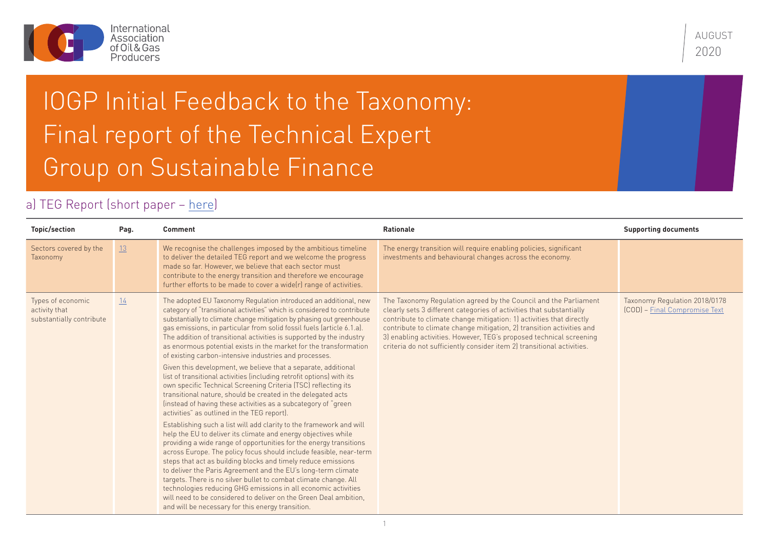

AUGUST 2020

## IOGP Initial Feedback to the Taxonomy: Final report of the Technical Expert Group on Sustainable Finance

## a) TEG Report (short paper – [here](https://ec.europa.eu/info/sites/info/files/business_economy_euro/banking_and_finance/documents/200309-sustainable-finance-teg-final-report-taxonomy_en.pdf#page=13))

| <b>Topic/section</b>                                           | Pag. | <b>Comment</b>                                                                                                                                                                                                                                                                                                                                                                                                                                                                                                                                                                                                                                                                                                                                                                                                                                                                                                                                                                                                                                                                                                                                                                                                                                                                                                                                                                                                                                                                                                                                                                            | <b>Rationale</b>                                                                                                                                                                                                                                                                                                                                                                                                                           | <b>Supporting documents</b>                                    |
|----------------------------------------------------------------|------|-------------------------------------------------------------------------------------------------------------------------------------------------------------------------------------------------------------------------------------------------------------------------------------------------------------------------------------------------------------------------------------------------------------------------------------------------------------------------------------------------------------------------------------------------------------------------------------------------------------------------------------------------------------------------------------------------------------------------------------------------------------------------------------------------------------------------------------------------------------------------------------------------------------------------------------------------------------------------------------------------------------------------------------------------------------------------------------------------------------------------------------------------------------------------------------------------------------------------------------------------------------------------------------------------------------------------------------------------------------------------------------------------------------------------------------------------------------------------------------------------------------------------------------------------------------------------------------------|--------------------------------------------------------------------------------------------------------------------------------------------------------------------------------------------------------------------------------------------------------------------------------------------------------------------------------------------------------------------------------------------------------------------------------------------|----------------------------------------------------------------|
| Sectors covered by the<br>Taxonomy                             | 13   | We recognise the challenges imposed by the ambitious timeline<br>to deliver the detailed TEG report and we welcome the progress<br>made so far. However, we believe that each sector must<br>contribute to the energy transition and therefore we encourage<br>further efforts to be made to cover a wide(r) range of activities.                                                                                                                                                                                                                                                                                                                                                                                                                                                                                                                                                                                                                                                                                                                                                                                                                                                                                                                                                                                                                                                                                                                                                                                                                                                         | The energy transition will require enabling policies, significant<br>investments and behavioural changes across the economy.                                                                                                                                                                                                                                                                                                               |                                                                |
| Types of economic<br>activity that<br>substantially contribute | 14   | The adopted EU Taxonomy Regulation introduced an additional, new<br>category of "transitional activities" which is considered to contribute<br>substantially to climate change mitigation by phasing out greenhouse<br>gas emissions, in particular from solid fossil fuels (article 6.1.a).<br>The addition of transitional activities is supported by the industry<br>as enormous potential exists in the market for the transformation<br>of existing carbon-intensive industries and processes.<br>Given this development, we believe that a separate, additional<br>list of transitional activities (including retrofit options) with its<br>own specific Technical Screening Criteria (TSC) reflecting its<br>transitional nature, should be created in the delegated acts<br>(instead of having these activities as a subcategory of "green"<br>activities" as outlined in the TEG report).<br>Establishing such a list will add clarity to the framework and will<br>help the EU to deliver its climate and energy objectives while<br>providing a wide range of opportunities for the energy transitions<br>across Europe. The policy focus should include feasible, near-term<br>steps that act as building blocks and timely reduce emissions<br>to deliver the Paris Agreement and the EU's long-term climate<br>targets. There is no silver bullet to combat climate change. All<br>technologies reducing GHG emissions in all economic activities<br>will need to be considered to deliver on the Green Deal ambition.<br>and will be necessary for this energy transition. | The Taxonomy Regulation agreed by the Council and the Parliament<br>clearly sets 3 different categories of activities that substantially<br>contribute to climate change mitigation: 1) activities that directly<br>contribute to climate change mitigation, 2) transition activities and<br>3) enabling activities. However, TEG's proposed technical screening<br>criteria do not sufficiently consider item 2) transitional activities. | Taxonomy Regulation 2018/0178<br>(COD) – Final Compromise Text |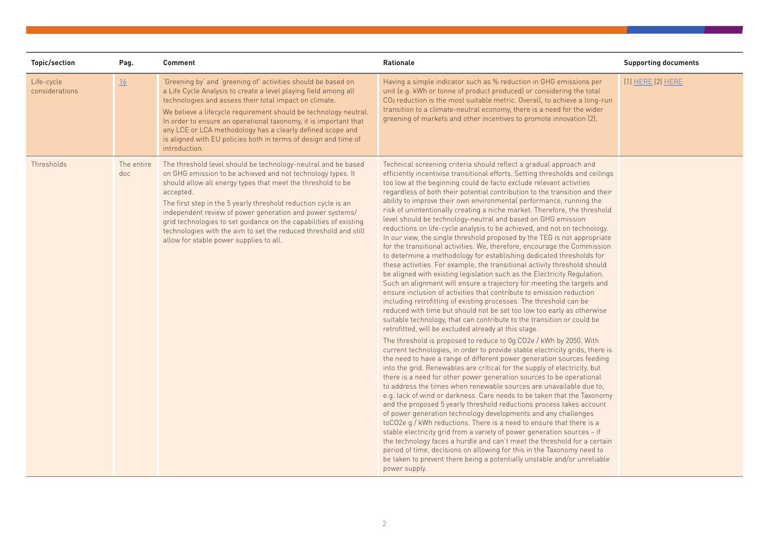| <b>Topic/section</b>         | Pag.              | <b>Comment</b>                                                                                                                                                                                                                                                                                                                                                                                                                                                                                                              | <b>Rationale</b>                                                                                                                                                                                                                                                                                                                                                                                                                                                                                                                                                                                                                                                                                                                                                                                                                                                                                                                                                                                                                                                                                                                                                                                                                                                                                                                                                                                                                                                                                                                                                                                                                                                                                                                                                                                                                                                                                                                                                                                                                                                                                                                                                                                                                                                                                                                                                                                                                                                                                                              | <b>Supporting documents</b> |
|------------------------------|-------------------|-----------------------------------------------------------------------------------------------------------------------------------------------------------------------------------------------------------------------------------------------------------------------------------------------------------------------------------------------------------------------------------------------------------------------------------------------------------------------------------------------------------------------------|-------------------------------------------------------------------------------------------------------------------------------------------------------------------------------------------------------------------------------------------------------------------------------------------------------------------------------------------------------------------------------------------------------------------------------------------------------------------------------------------------------------------------------------------------------------------------------------------------------------------------------------------------------------------------------------------------------------------------------------------------------------------------------------------------------------------------------------------------------------------------------------------------------------------------------------------------------------------------------------------------------------------------------------------------------------------------------------------------------------------------------------------------------------------------------------------------------------------------------------------------------------------------------------------------------------------------------------------------------------------------------------------------------------------------------------------------------------------------------------------------------------------------------------------------------------------------------------------------------------------------------------------------------------------------------------------------------------------------------------------------------------------------------------------------------------------------------------------------------------------------------------------------------------------------------------------------------------------------------------------------------------------------------------------------------------------------------------------------------------------------------------------------------------------------------------------------------------------------------------------------------------------------------------------------------------------------------------------------------------------------------------------------------------------------------------------------------------------------------------------------------------------------------|-----------------------------|
| Life-cycle<br>considerations | 16                | 'Greening by' and 'greening of' activities should be based on<br>a Life Cycle Analysis to create a level playing field among all<br>technologies and assess their total impact on climate.<br>We believe a lifecycle requirement should be technology neutral.<br>In order to ensure an operational taxonomy, it is important that<br>any LCE or LCA methodology has a clearly defined scope and<br>is aligned with EU policies both in terms of design and time of<br>introduction.                                        | Having a simple indicator such as % reduction in GHG emissions per<br>unit (e.g. kWh or tonne of product produced) or considering the total<br>CO <sub>2</sub> reduction is the most suitable metric. Overall, to achieve a long-run<br>transition to a climate-neutral economy, there is a need for the wider<br>greening of markets and other incentives to promote innovation (2).                                                                                                                                                                                                                                                                                                                                                                                                                                                                                                                                                                                                                                                                                                                                                                                                                                                                                                                                                                                                                                                                                                                                                                                                                                                                                                                                                                                                                                                                                                                                                                                                                                                                                                                                                                                                                                                                                                                                                                                                                                                                                                                                         | [1] <u>HERE</u> (2) HERE    |
| Thresholds                   | The entire<br>doc | The threshold level should be technology-neutral and be based<br>on GHG emission to be achieved and not technology types. It<br>should allow all energy types that meet the threshold to be<br>accepted.<br>The first step in the 5 yearly threshold reduction cycle is an<br>independent review of power generation and power systems/<br>grid technologies to set guidance on the capabilities of existing<br>technologies with the aim to set the reduced threshold and still<br>allow for stable power supplies to all. | Technical screening criteria should reflect a gradual approach and<br>efficiently incentivise transitional efforts. Setting thresholds and ceilings<br>too low at the beginning could de facto exclude relevant activities<br>regardless of both their potential contribution to the transition and their<br>ability to improve their own environmental performance, running the<br>risk of unintentionally creating a niche market. Therefore, the threshold<br>level should be technology-neutral and based on GHG emission<br>reductions on life-cycle analysis to be achieved, and not on technology.<br>In our view, the single threshold proposed by the TEG is not appropriate<br>for the transitional activities. We, therefore, encourage the Commission<br>to determine a methodology for establishing dedicated thresholds for<br>these activities. For example, the transitional activity threshold should<br>be aligned with existing legislation such as the Electricity Regulation.<br>Such an alignment will ensure a trajectory for meeting the targets and<br>ensure inclusion of activities that contribute to emission reduction<br>including retrofitting of existing processes. The threshold can be<br>reduced with time but should not be set too low too early as otherwise<br>suitable technology, that can contribute to the transition or could be<br>retrofitted, will be excluded already at this stage.<br>The threshold is proposed to reduce to 0g CO2e / kWh by 2050. With<br>current technologies, in order to provide stable electricity grids, there is<br>the need to have a range of different power generation sources feeding<br>into the grid. Renewables are critical for the supply of electricity, but<br>there is a need for other power generation sources to be operational<br>to address the times when renewable sources are unavailable due to,<br>e.g. lack of wind or darkness. Care needs to be taken that the Taxonomy<br>and the proposed 5 yearly threshold reductions process takes account<br>of power generation technology developments and any challenges<br>toCO2e g / kWh reductions. There is a need to ensure that there is a<br>stable electricity grid from a variety of power generation sources - if<br>the technology faces a hurdle and can't meet the threshold for a certain<br>period of time, decisions on allowing for this in the Taxonomy need to<br>be taken to prevent there being a potentially unstable and/or unreliable<br>power supply. |                             |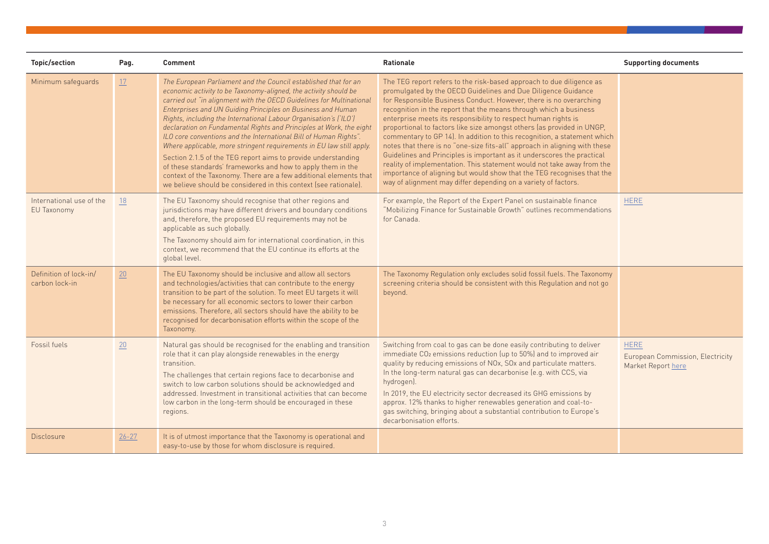| <b>Topic/section</b>                     | Pag.      | <b>Comment</b>                                                                                                                                                                                                                                                                                                                                                                                                                                                                                                                                                                                                                                                                                                                                                                                                                               | <b>Rationale</b>                                                                                                                                                                                                                                                                                                                                                                                                                                                                                                                                                                                                                                                                                                                                                                                                                                                                       | <b>Supporting documents</b>                                           |
|------------------------------------------|-----------|----------------------------------------------------------------------------------------------------------------------------------------------------------------------------------------------------------------------------------------------------------------------------------------------------------------------------------------------------------------------------------------------------------------------------------------------------------------------------------------------------------------------------------------------------------------------------------------------------------------------------------------------------------------------------------------------------------------------------------------------------------------------------------------------------------------------------------------------|----------------------------------------------------------------------------------------------------------------------------------------------------------------------------------------------------------------------------------------------------------------------------------------------------------------------------------------------------------------------------------------------------------------------------------------------------------------------------------------------------------------------------------------------------------------------------------------------------------------------------------------------------------------------------------------------------------------------------------------------------------------------------------------------------------------------------------------------------------------------------------------|-----------------------------------------------------------------------|
| Minimum safeguards                       | 17        | The European Parliament and the Council established that for an<br>economic activity to be Taxonomy-aligned, the activity should be<br>carried out "in alignment with the OECD Guidelines for Multinational<br>Enterprises and UN Guiding Principles on Business and Human<br>Rights, including the International Labour Organisation's ('ILO')<br>declaration on Fundamental Rights and Principles at Work, the eight<br>ILO core conventions and the International Bill of Human Rights".<br>Where applicable, more stringent requirements in EU law still apply.<br>Section 2.1.5 of the TEG report aims to provide understanding<br>of these standards' frameworks and how to apply them in the<br>context of the Taxonomy. There are a few additional elements that<br>we believe should be considered in this context (see rationale). | The TEG report refers to the risk-based approach to due diligence as<br>promulgated by the OECD Guidelines and Due Diligence Guidance<br>for Responsible Business Conduct. However, there is no overarching<br>recognition in the report that the means through which a business<br>enterprise meets its responsibility to respect human rights is<br>proportional to factors like size amongst others (as provided in UNGP,<br>commentary to GP 14). In addition to this recognition, a statement which<br>notes that there is no "one-size fits-all" approach in aligning with these<br>Guidelines and Principles is important as it underscores the practical<br>reality of implementation. This statement would not take away from the<br>importance of aligning but would show that the TEG recognises that the<br>way of alignment may differ depending on a variety of factors. |                                                                       |
| International use of the<br>EU Taxonomy  | 18        | The EU Taxonomy should recognise that other regions and<br>jurisdictions may have different drivers and boundary conditions<br>and, therefore, the proposed EU requirements may not be<br>applicable as such globally.<br>The Taxonomy should aim for international coordination, in this<br>context, we recommend that the EU continue its efforts at the<br>global level.                                                                                                                                                                                                                                                                                                                                                                                                                                                                  | For example, the Report of the Expert Panel on sustainable finance<br>"Mobilizing Finance for Sustainable Growth" outlines recommendations<br>for Canada.                                                                                                                                                                                                                                                                                                                                                                                                                                                                                                                                                                                                                                                                                                                              | <b>HERE</b>                                                           |
| Definition of lock-in/<br>carbon lock-in | 20        | The EU Taxonomy should be inclusive and allow all sectors<br>and technologies/activities that can contribute to the energy<br>transition to be part of the solution. To meet EU targets it will<br>be necessary for all economic sectors to lower their carbon<br>emissions. Therefore, all sectors should have the ability to be<br>recognised for decarbonisation efforts within the scope of the<br>Taxonomy.                                                                                                                                                                                                                                                                                                                                                                                                                             | The Taxonomy Regulation only excludes solid fossil fuels. The Taxonomy<br>screening criteria should be consistent with this Regulation and not go<br>beyond.                                                                                                                                                                                                                                                                                                                                                                                                                                                                                                                                                                                                                                                                                                                           |                                                                       |
| Fossil fuels                             | 20        | Natural gas should be recognised for the enabling and transition<br>role that it can play alongside renewables in the energy<br>transition.<br>The challenges that certain regions face to decarbonise and<br>switch to low carbon solutions should be acknowledged and<br>addressed. Investment in transitional activities that can become<br>low carbon in the long-term should be encouraged in these<br>regions.                                                                                                                                                                                                                                                                                                                                                                                                                         | Switching from coal to gas can be done easily contributing to deliver<br>immediate CO <sub>2</sub> emissions reduction (up to 50%) and to improved air<br>quality by reducing emissions of NOx, SOx and particulate matters.<br>In the long-term natural gas can decarbonise (e.g. with CCS, via<br>hydrogen).<br>In 2019, the EU electricity sector decreased its GHG emissions by<br>approx. 12% thanks to higher renewables generation and coal-to-<br>gas switching, bringing about a substantial contribution to Europe's<br>decarbonisation efforts.                                                                                                                                                                                                                                                                                                                             | <b>HERE</b><br>European Commission, Electricity<br>Market Report here |
| Disclosure                               | $26 - 27$ | It is of utmost importance that the Taxonomy is operational and<br>easy-to-use by those for whom disclosure is required.                                                                                                                                                                                                                                                                                                                                                                                                                                                                                                                                                                                                                                                                                                                     |                                                                                                                                                                                                                                                                                                                                                                                                                                                                                                                                                                                                                                                                                                                                                                                                                                                                                        |                                                                       |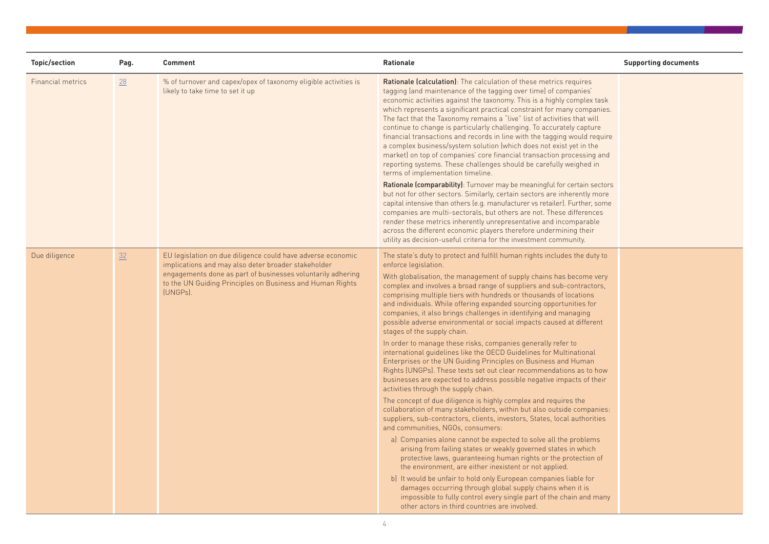| <b>Topic/section</b> | Pag. | <b>Comment</b>                                                                                                                                                                                                                                             | Rationale                                                                                                                                                                                                                                                                                                                                                                                                                                                                                                                                                                                                                                                                                                                                                                                                                                                                                                                                                                                                                                                                                                                                                                                                                                                                                                                                                                                                                                                                                                                                                                                                                                                                                                                                                          | <b>Supporting documents</b> |
|----------------------|------|------------------------------------------------------------------------------------------------------------------------------------------------------------------------------------------------------------------------------------------------------------|--------------------------------------------------------------------------------------------------------------------------------------------------------------------------------------------------------------------------------------------------------------------------------------------------------------------------------------------------------------------------------------------------------------------------------------------------------------------------------------------------------------------------------------------------------------------------------------------------------------------------------------------------------------------------------------------------------------------------------------------------------------------------------------------------------------------------------------------------------------------------------------------------------------------------------------------------------------------------------------------------------------------------------------------------------------------------------------------------------------------------------------------------------------------------------------------------------------------------------------------------------------------------------------------------------------------------------------------------------------------------------------------------------------------------------------------------------------------------------------------------------------------------------------------------------------------------------------------------------------------------------------------------------------------------------------------------------------------------------------------------------------------|-----------------------------|
| Financial metrics    | 28   | % of turnover and capex/opex of taxonomy eligible activities is<br>likely to take time to set it up                                                                                                                                                        | <b>Rationale (calculation)</b> : The calculation of these metrics requires<br>tagging (and maintenance of the tagging over time) of companies'<br>economic activities against the taxonomy. This is a highly complex task<br>which represents a significant practical constraint for many companies.<br>The fact that the Taxonomy remains a "live" list of activities that will<br>continue to change is particularly challenging. To accurately capture<br>financial transactions and records in line with the tagging would require<br>a complex business/system solution (which does not exist yet in the<br>market) on top of companies' core financial transaction processing and<br>reporting systems. These challenges should be carefully weighed in<br>terms of implementation timeline.<br>Rationale (comparability): Turnover may be meaningful for certain sectors<br>but not for other sectors. Similarly, certain sectors are inherently more<br>capital intensive than others (e.g. manufacturer vs retailer). Further, some<br>companies are multi-sectorals, but others are not. These differences<br>render these metrics inherently unrepresentative and incomparable<br>across the different economic players therefore undermining their<br>utility as decision-useful criteria for the investment community.                                                                                                                                                                                                                                                                                                                                                                                                                                |                             |
| Due diligence        | 32   | EU legislation on due diligence could have adverse economic<br>implications and may also deter broader stakeholder<br>engagements done as part of businesses voluntarily adhering<br>to the UN Guiding Principles on Business and Human Rights<br>(UNGPs). | The state's duty to protect and fulfill human rights includes the duty to<br>enforce legislation.<br>With globalisation, the management of supply chains has become very<br>complex and involves a broad range of suppliers and sub-contractors,<br>comprising multiple tiers with hundreds or thousands of locations<br>and individuals. While offering expanded sourcing opportunities for<br>companies, it also brings challenges in identifying and managing<br>possible adverse environmental or social impacts caused at different<br>stages of the supply chain.<br>In order to manage these risks, companies generally refer to<br>international quidelines like the OECD Guidelines for Multinational<br>Enterprises or the UN Guiding Principles on Business and Human<br>Rights (UNGPs). These texts set out clear recommendations as to how<br>businesses are expected to address possible negative impacts of their<br>activities through the supply chain.<br>The concept of due diligence is highly complex and requires the<br>collaboration of many stakeholders, within but also outside companies:<br>suppliers, sub-contractors, clients, investors, States, local authorities<br>and communities, NGOs, consumers:<br>a) Companies alone cannot be expected to solve all the problems<br>arising from failing states or weakly governed states in which<br>protective laws, guaranteeing human rights or the protection of<br>the environment, are either inexistent or not applied.<br>b) It would be unfair to hold only European companies liable for<br>damages occurring through global supply chains when it is<br>impossible to fully control every single part of the chain and many<br>other actors in third countries are involved. |                             |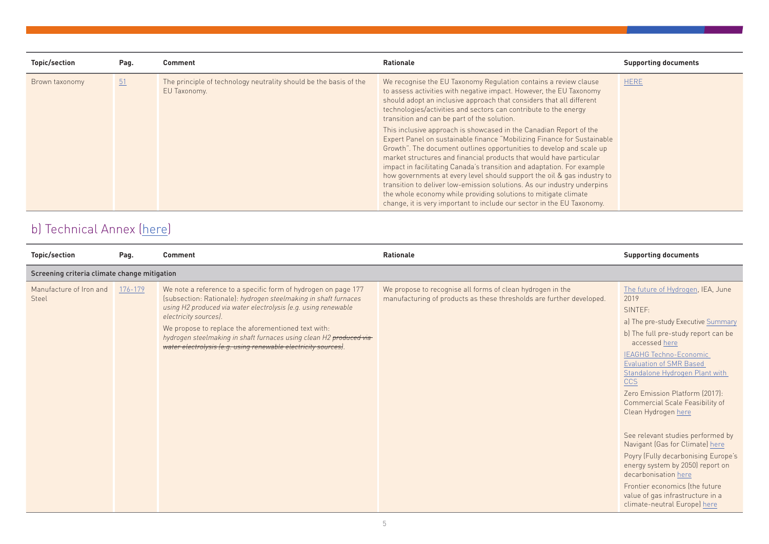| Topic/section  | Pag. | <b>Comment</b>                                                                    | <b>Rationale</b>                                                                                                                                                                                                                                                                                                                                                                                                                                                                                                                                                                                                                                                          | <b>Supporting documents</b> |
|----------------|------|-----------------------------------------------------------------------------------|---------------------------------------------------------------------------------------------------------------------------------------------------------------------------------------------------------------------------------------------------------------------------------------------------------------------------------------------------------------------------------------------------------------------------------------------------------------------------------------------------------------------------------------------------------------------------------------------------------------------------------------------------------------------------|-----------------------------|
| Brown taxonomy | 51   | The principle of technology neutrality should be the basis of the<br>EU Taxonomy. | We recognise the EU Taxonomy Regulation contains a review clause<br>to assess activities with negative impact. However, the EU Taxonomy<br>should adopt an inclusive approach that considers that all different<br>technologies/activities and sectors can contribute to the energy<br>transition and can be part of the solution.                                                                                                                                                                                                                                                                                                                                        | <b>HERE</b>                 |
|                |      |                                                                                   | This inclusive approach is showcased in the Canadian Report of the<br>Expert Panel on sustainable finance "Mobilizing Finance for Sustainable<br>Growth". The document outlines opportunities to develop and scale up<br>market structures and financial products that would have particular<br>impact in facilitating Canada's transition and adaptation. For example<br>how governments at every level should support the oil & gas industry to<br>transition to deliver low-emission solutions. As our industry underpins<br>the whole economy while providing solutions to mitigate climate<br>change, it is very important to include our sector in the EU Taxonomy. |                             |

## b) Technical Annex ([here](https://ec.europa.eu/info/sites/info/files/business_economy_euro/banking_and_finance/documents/200309-sustainable-finance-teg-final-report-taxonomy-annexes_en.pdf#page=289))

| Topic/section                    | Pag.                                         | <b>Comment</b>                                                                                                                                                                                                                                                                                                                                                                                                               | <b>Rationale</b>                                                                                                                   | <b>Supporting documents</b>                                                                                                                                                                                                                                                                                                                                                                                                                                                                                                                                                                                                                        |  |  |
|----------------------------------|----------------------------------------------|------------------------------------------------------------------------------------------------------------------------------------------------------------------------------------------------------------------------------------------------------------------------------------------------------------------------------------------------------------------------------------------------------------------------------|------------------------------------------------------------------------------------------------------------------------------------|----------------------------------------------------------------------------------------------------------------------------------------------------------------------------------------------------------------------------------------------------------------------------------------------------------------------------------------------------------------------------------------------------------------------------------------------------------------------------------------------------------------------------------------------------------------------------------------------------------------------------------------------------|--|--|
|                                  | Screening criteria climate change mitigation |                                                                                                                                                                                                                                                                                                                                                                                                                              |                                                                                                                                    |                                                                                                                                                                                                                                                                                                                                                                                                                                                                                                                                                                                                                                                    |  |  |
| Manufacture of Iron and<br>Steel | 176-179                                      | We note a reference to a specific form of hydrogen on page 177<br>(subsection: Rationale): hydrogen steelmaking in shaft furnaces<br>using H2 produced via water electrolysis (e.g. using renewable<br>electricity sources).<br>We propose to replace the aforementioned text with:<br>hydrogen steelmaking in shaft furnaces using clean H2 produced via-<br>water electrolysis (e.g. using renewable electricity sources). | We propose to recognise all forms of clean hydrogen in the<br>manufacturing of products as these thresholds are further developed. | The future of Hydrogen, IEA, June<br>2019<br>SINTEF:<br>a) The pre-study Executive Summary<br>b) The full pre-study report can be<br>accessed here<br><b>IEAGHG Techno-Economic</b><br><b>Evaluation of SMR Based</b><br>Standalone Hydrogen Plant with<br><b>CCS</b><br>Zero Emission Platform (2017):<br>Commercial Scale Feasibility of<br>Clean Hydrogen here<br>See relevant studies performed by<br>Navigant (Gas for Climate) here<br>Poyry (Fully decarbonising Europe's<br>energy system by 2050) report on<br>decarbonisation here<br>Frontier economics (the future<br>value of gas infrastructure in a<br>climate-neutral Europe) here |  |  |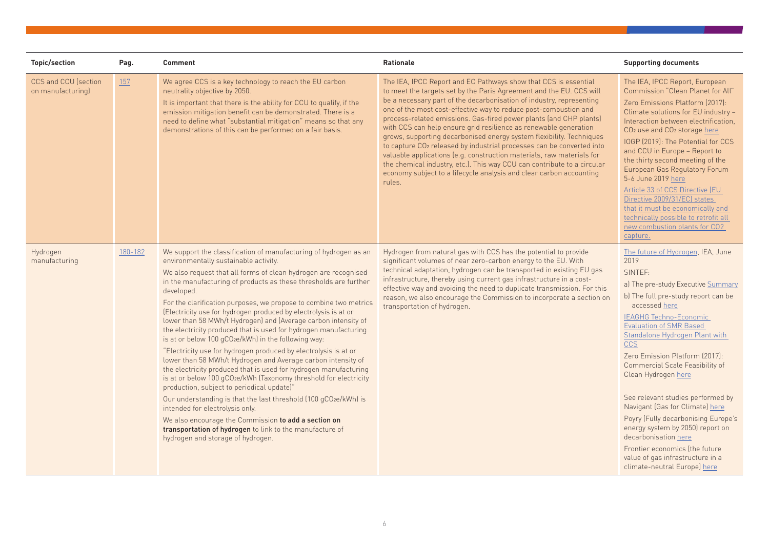| <b>Topic/section</b>                      | Pag.    | Comment                                                                                                                                                                                                                                                                                                                                                                                                                                                                                                                                                                                                                                                                                                                                                                                                                                                                                                                                                                                                                                                                                                                                                                                     | Rationale                                                                                                                                                                                                                                                                                                                                                                                                                                                                                                                                                                                                                                                                                                                                                                                                                      | <b>Supporting documents</b>                                                                                                                                                                                                                                                                                                                                                                                                                                                                                                                                                                                                                               |
|-------------------------------------------|---------|---------------------------------------------------------------------------------------------------------------------------------------------------------------------------------------------------------------------------------------------------------------------------------------------------------------------------------------------------------------------------------------------------------------------------------------------------------------------------------------------------------------------------------------------------------------------------------------------------------------------------------------------------------------------------------------------------------------------------------------------------------------------------------------------------------------------------------------------------------------------------------------------------------------------------------------------------------------------------------------------------------------------------------------------------------------------------------------------------------------------------------------------------------------------------------------------|--------------------------------------------------------------------------------------------------------------------------------------------------------------------------------------------------------------------------------------------------------------------------------------------------------------------------------------------------------------------------------------------------------------------------------------------------------------------------------------------------------------------------------------------------------------------------------------------------------------------------------------------------------------------------------------------------------------------------------------------------------------------------------------------------------------------------------|-----------------------------------------------------------------------------------------------------------------------------------------------------------------------------------------------------------------------------------------------------------------------------------------------------------------------------------------------------------------------------------------------------------------------------------------------------------------------------------------------------------------------------------------------------------------------------------------------------------------------------------------------------------|
| CCS and CCU (section<br>on manufacturing) | 157     | We agree CCS is a key technology to reach the EU carbon<br>neutrality objective by 2050.<br>It is important that there is the ability for CCU to qualify, if the<br>emission mitigation benefit can be demonstrated. There is a<br>need to define what "substantial mitigation" means so that any<br>demonstrations of this can be performed on a fair basis.                                                                                                                                                                                                                                                                                                                                                                                                                                                                                                                                                                                                                                                                                                                                                                                                                               | The IEA, IPCC Report and EC Pathways show that CCS is essential<br>to meet the targets set by the Paris Agreement and the EU. CCS will<br>be a necessary part of the decarbonisation of industry, representing<br>one of the most cost-effective way to reduce post-combustion and<br>process-related emissions. Gas-fired power plants (and CHP plants)<br>with CCS can help ensure grid resilience as renewable generation<br>grows, supporting decarbonised energy system flexibility. Techniques<br>to capture CO <sub>2</sub> released by industrial processes can be converted into<br>valuable applications (e.g. construction materials, raw materials for<br>the chemical industry, etc.). This way CCU can contribute to a circular<br>economy subject to a lifecycle analysis and clear carbon accounting<br>rules. | The IEA, IPCC Report, European<br>Commission "Clean Planet for All"<br>Zero Emissions Platform (2017):<br>Climate solutions for EU industry -<br>Interaction between electrification.<br>CO <sub>2</sub> use and CO <sub>2</sub> storage here<br>IOGP (2019): The Potential for CCS<br>and CCU in Europe - Report to<br>the thirty second meeting of the<br>European Gas Regulatory Forum<br>5-6 June 2019 here<br>Article 33 of CCS Directive (EU<br>Directive 2009/31/EC) states<br>that it must be economically and<br>technically possible to retrofit all<br>new combustion plants for CO2<br>capture.                                               |
| Hydrogen<br>manufacturing                 | 180-182 | We support the classification of manufacturing of hydrogen as an<br>environmentally sustainable activity.<br>We also request that all forms of clean hydrogen are recognised<br>in the manufacturing of products as these thresholds are further<br>developed.<br>For the clarification purposes, we propose to combine two metrics<br>(Electricity use for hydrogen produced by electrolysis is at or<br>lower than 58 MWh/t Hydrogen) and (Average carbon intensity of<br>the electricity produced that is used for hydrogen manufacturing<br>is at or below 100 gCO2e/kWh) in the following way:<br>"Electricity use for hydrogen produced by electrolysis is at or<br>lower than 58 MWh/t Hydrogen and Average carbon intensity of<br>the electricity produced that is used for hydrogen manufacturing<br>is at or below 100 gCO2e/kWh (Taxonomy threshold for electricity<br>production, subject to periodical update)"<br>Our understanding is that the last threshold (100 gCO2e/kWh) is<br>intended for electrolysis only.<br>We also encourage the Commission to add a section on<br>transportation of hydrogen to link to the manufacture of<br>hydrogen and storage of hydrogen. | Hydrogen from natural gas with CCS has the potential to provide<br>significant volumes of near zero-carbon energy to the EU. With<br>technical adaptation, hydrogen can be transported in existing EU gas<br>infrastructure, thereby using current gas infrastructure in a cost-<br>effective way and avoiding the need to duplicate transmission. For this<br>reason, we also encourage the Commission to incorporate a section on<br>transportation of hydrogen.                                                                                                                                                                                                                                                                                                                                                             | The future of Hydrogen, IEA, June<br>2019<br>SINTEF:<br>a) The pre-study Executive Summary<br>b) The full pre-study report can be<br>accessed here<br><b>IEAGHG Techno-Economic</b><br><b>Evaluation of SMR Based</b><br>Standalone Hydrogen Plant with<br><b>CCS</b><br>Zero Emission Platform (2017):<br><b>Commercial Scale Feasibility of</b><br>Clean Hydrogen here<br>See relevant studies performed by<br>Navigant (Gas for Climate) here<br>Poyry (Fully decarbonising Europe's<br>energy system by 2050) report on<br>decarbonisation here<br>Frontier economics (the future<br>value of gas infrastructure in a<br>climate-neutral Europe) here |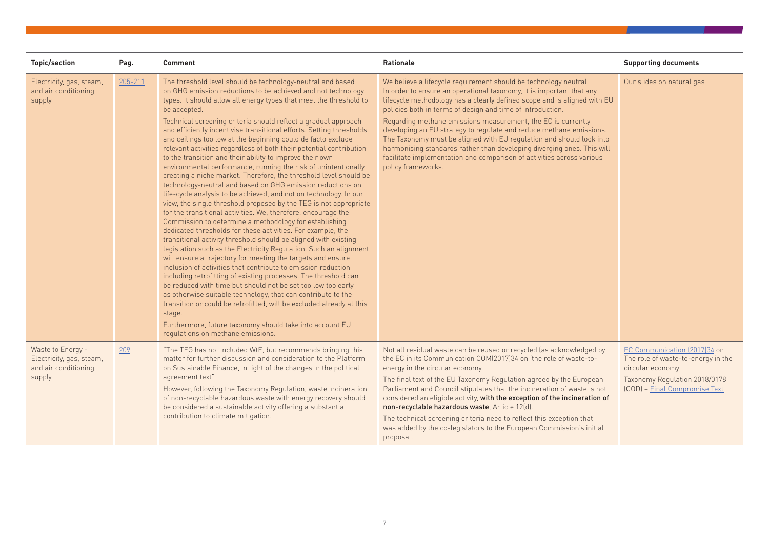| <b>Topic/section</b>                                                            | Pag.    | <b>Comment</b>                                                                                                                                                                                                                                                                                                                                                                                                                                                                                                                                                                                                                                                                                                                                                                                                                                                                                                                                                                                                                                                                                                                                                                                                                                                                                                                                                                                                                                                                                                                                                                                                                                                                                                                                                       | <b>Rationale</b>                                                                                                                                                                                                                                                                                                                                                                                                                                                                                                                                                                                                                                                           | <b>Supporting documents</b>                                                                                                                              |
|---------------------------------------------------------------------------------|---------|----------------------------------------------------------------------------------------------------------------------------------------------------------------------------------------------------------------------------------------------------------------------------------------------------------------------------------------------------------------------------------------------------------------------------------------------------------------------------------------------------------------------------------------------------------------------------------------------------------------------------------------------------------------------------------------------------------------------------------------------------------------------------------------------------------------------------------------------------------------------------------------------------------------------------------------------------------------------------------------------------------------------------------------------------------------------------------------------------------------------------------------------------------------------------------------------------------------------------------------------------------------------------------------------------------------------------------------------------------------------------------------------------------------------------------------------------------------------------------------------------------------------------------------------------------------------------------------------------------------------------------------------------------------------------------------------------------------------------------------------------------------------|----------------------------------------------------------------------------------------------------------------------------------------------------------------------------------------------------------------------------------------------------------------------------------------------------------------------------------------------------------------------------------------------------------------------------------------------------------------------------------------------------------------------------------------------------------------------------------------------------------------------------------------------------------------------------|----------------------------------------------------------------------------------------------------------------------------------------------------------|
| Electricity, gas, steam,<br>and air conditioning<br>supply                      | 205-211 | The threshold level should be technology-neutral and based<br>on GHG emission reductions to be achieved and not technology<br>types. It should allow all energy types that meet the threshold to<br>be accepted.<br>Technical screening criteria should reflect a gradual approach<br>and efficiently incentivise transitional efforts. Setting thresholds<br>and ceilings too low at the beginning could de facto exclude<br>relevant activities regardless of both their potential contribution<br>to the transition and their ability to improve their own<br>environmental performance, running the risk of unintentionally<br>creating a niche market. Therefore, the threshold level should be<br>technology-neutral and based on GHG emission reductions on<br>life-cycle analysis to be achieved, and not on technology. In our<br>view, the single threshold proposed by the TEG is not appropriate<br>for the transitional activities. We, therefore, encourage the<br>Commission to determine a methodology for establishing<br>dedicated thresholds for these activities. For example, the<br>transitional activity threshold should be aligned with existing<br>legislation such as the Electricity Regulation. Such an alignment<br>will ensure a trajectory for meeting the targets and ensure<br>inclusion of activities that contribute to emission reduction<br>including retrofitting of existing processes. The threshold can<br>be reduced with time but should not be set too low too early<br>as otherwise suitable technology, that can contribute to the<br>transition or could be retrofitted, will be excluded already at this<br>stage.<br>Furthermore, future taxonomy should take into account EU<br>regulations on methane emissions. | We believe a lifecycle requirement should be technology neutral.<br>In order to ensure an operational taxonomy, it is important that any<br>lifecycle methodology has a clearly defined scope and is aligned with EU<br>policies both in terms of design and time of introduction.<br>Regarding methane emissions measurement, the EC is currently<br>developing an EU strategy to regulate and reduce methane emissions.<br>The Taxonomy must be aligned with EU regulation and should look into<br>harmonising standards rather than developing diverging ones. This will<br>facilitate implementation and comparison of activities across various<br>policy frameworks. | Our slides on natural gas                                                                                                                                |
| Waste to Energy -<br>Electricity, gas, steam,<br>and air conditioning<br>supply | 209     | "The TEG has not included WtE, but recommends bringing this<br>matter for further discussion and consideration to the Platform<br>on Sustainable Finance, in light of the changes in the political<br>agreement text"<br>However, following the Taxonomy Regulation, waste incineration<br>of non-recyclable hazardous waste with energy recovery should<br>be considered a sustainable activity offering a substantial<br>contribution to climate mitigation.                                                                                                                                                                                                                                                                                                                                                                                                                                                                                                                                                                                                                                                                                                                                                                                                                                                                                                                                                                                                                                                                                                                                                                                                                                                                                                       | Not all residual waste can be reused or recycled (as acknowledged by<br>the EC in its Communication COM(2017)34 on 'the role of waste-to-<br>energy in the circular economy.<br>The final text of the EU Taxonomy Regulation agreed by the European<br>Parliament and Council stipulates that the incineration of waste is not<br>considered an eligible activity, with the exception of the incineration of<br>non-recyclable hazardous waste, Article 12(d).<br>The technical screening criteria need to reflect this exception that<br>was added by the co-legislators to the European Commission's initial<br>proposal.                                                | EC Communication (2017)34 on<br>The role of waste-to-energy in the<br>circular economy<br>Taxonomy Regulation 2018/0178<br>(COD) - Final Compromise Text |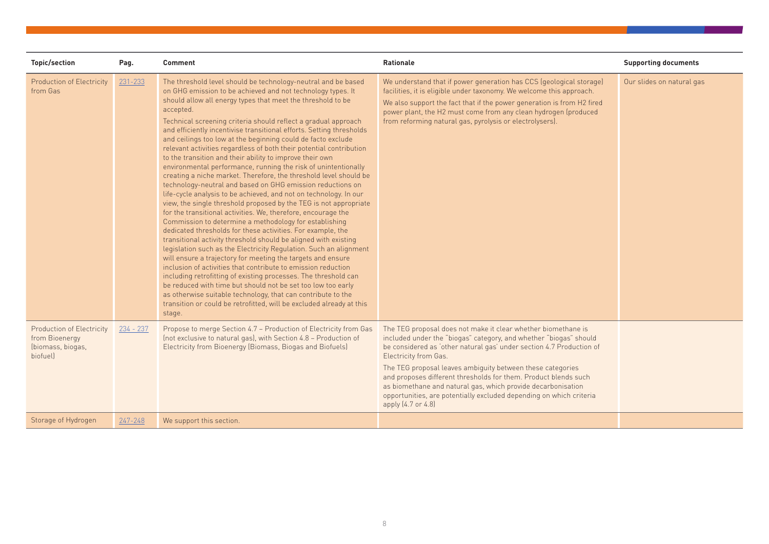| <b>Topic/section</b>                                                                | Pag.        | <b>Comment</b>                                                                                                                                                                                                                                                                                                                                                                                                                                                                                                                                                                                                                                                                                                                                                                                                                                                                                                                                                                                                                                                                                                                                                                                                                                                                                                                                                                                                                                                                                                                                                                                                                                              | <b>Rationale</b>                                                                                                                                                                                                                                                                                                                                                                                                                                                                                                                             | <b>Supporting documents</b> |
|-------------------------------------------------------------------------------------|-------------|-------------------------------------------------------------------------------------------------------------------------------------------------------------------------------------------------------------------------------------------------------------------------------------------------------------------------------------------------------------------------------------------------------------------------------------------------------------------------------------------------------------------------------------------------------------------------------------------------------------------------------------------------------------------------------------------------------------------------------------------------------------------------------------------------------------------------------------------------------------------------------------------------------------------------------------------------------------------------------------------------------------------------------------------------------------------------------------------------------------------------------------------------------------------------------------------------------------------------------------------------------------------------------------------------------------------------------------------------------------------------------------------------------------------------------------------------------------------------------------------------------------------------------------------------------------------------------------------------------------------------------------------------------------|----------------------------------------------------------------------------------------------------------------------------------------------------------------------------------------------------------------------------------------------------------------------------------------------------------------------------------------------------------------------------------------------------------------------------------------------------------------------------------------------------------------------------------------------|-----------------------------|
| <b>Production of Electricity</b><br>from Gas                                        | $231 - 233$ | The threshold level should be technology-neutral and be based<br>on GHG emission to be achieved and not technology types. It<br>should allow all energy types that meet the threshold to be<br>accepted.<br>Technical screening criteria should reflect a gradual approach<br>and efficiently incentivise transitional efforts. Setting thresholds<br>and ceilings too low at the beginning could de facto exclude<br>relevant activities regardless of both their potential contribution<br>to the transition and their ability to improve their own<br>environmental performance, running the risk of unintentionally<br>creating a niche market. Therefore, the threshold level should be<br>technology-neutral and based on GHG emission reductions on<br>life-cycle analysis to be achieved, and not on technology. In our<br>view, the single threshold proposed by the TEG is not appropriate<br>for the transitional activities. We, therefore, encourage the<br>Commission to determine a methodology for establishing<br>dedicated thresholds for these activities. For example, the<br>transitional activity threshold should be aligned with existing<br>legislation such as the Electricity Regulation. Such an alignment<br>will ensure a trajectory for meeting the targets and ensure<br>inclusion of activities that contribute to emission reduction<br>including retrofitting of existing processes. The threshold can<br>be reduced with time but should not be set too low too early<br>as otherwise suitable technology, that can contribute to the<br>transition or could be retrofitted, will be excluded already at this<br>stage. | We understand that if power generation has CCS (geological storage)<br>facilities, it is eligible under taxonomy. We welcome this approach.<br>We also support the fact that if the power generation is from H2 fired<br>power plant, the H2 must come from any clean hydrogen (produced<br>from reforming natural gas, pyrolysis or electrolysers).                                                                                                                                                                                         | Our slides on natural gas   |
| <b>Production of Electricity</b><br>from Bioenergy<br>(biomass, biogas,<br>biofuell | $234 - 237$ | Propose to merge Section 4.7 - Production of Electricity from Gas<br>(not exclusive to natural gas), with Section 4.8 - Production of<br>Electricity from Bioenergy (Biomass, Biogas and Biofuels)                                                                                                                                                                                                                                                                                                                                                                                                                                                                                                                                                                                                                                                                                                                                                                                                                                                                                                                                                                                                                                                                                                                                                                                                                                                                                                                                                                                                                                                          | The TEG proposal does not make it clear whether biomethane is<br>included under the "biogas" category, and whether "biogas" should<br>be considered as 'other natural gas' under section 4.7 Production of<br>Electricity from Gas.<br>The TEG proposal leaves ambiguity between these categories<br>and proposes different thresholds for them. Product blends such<br>as biomethane and natural gas, which provide decarbonisation<br>opportunities, are potentially excluded depending on which criteria<br>apply $(4.7 \text{ or } 4.8)$ |                             |
| Storage of Hydrogen                                                                 | 247-248     | We support this section.                                                                                                                                                                                                                                                                                                                                                                                                                                                                                                                                                                                                                                                                                                                                                                                                                                                                                                                                                                                                                                                                                                                                                                                                                                                                                                                                                                                                                                                                                                                                                                                                                                    |                                                                                                                                                                                                                                                                                                                                                                                                                                                                                                                                              |                             |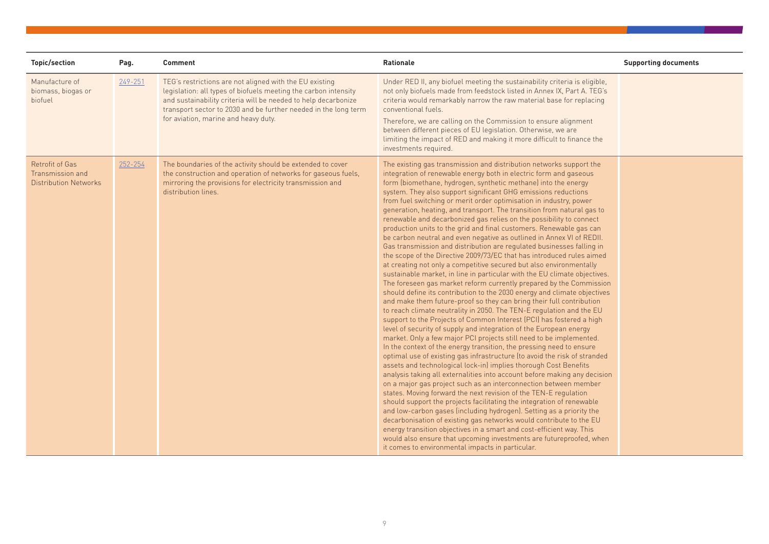| <b>Topic/section</b>                                         | Pag.    | <b>Comment</b>                                                                                                                                                                                                                                                                                          | <b>Rationale</b>                                                                                                                                                                                                                                                                                                                                                                                                                                                                                                                                                                                                                                                                                                                                                                                                                                                                                                                                                                                                                                                                                                                                                                                                                                                                                                                                                                                                                                                                                                                                                                                                                                                                                                                                                                                                                                                                                                                                                                                                                                                                                                                                                                                                                                                                                                                                           | <b>Supporting documents</b> |
|--------------------------------------------------------------|---------|---------------------------------------------------------------------------------------------------------------------------------------------------------------------------------------------------------------------------------------------------------------------------------------------------------|------------------------------------------------------------------------------------------------------------------------------------------------------------------------------------------------------------------------------------------------------------------------------------------------------------------------------------------------------------------------------------------------------------------------------------------------------------------------------------------------------------------------------------------------------------------------------------------------------------------------------------------------------------------------------------------------------------------------------------------------------------------------------------------------------------------------------------------------------------------------------------------------------------------------------------------------------------------------------------------------------------------------------------------------------------------------------------------------------------------------------------------------------------------------------------------------------------------------------------------------------------------------------------------------------------------------------------------------------------------------------------------------------------------------------------------------------------------------------------------------------------------------------------------------------------------------------------------------------------------------------------------------------------------------------------------------------------------------------------------------------------------------------------------------------------------------------------------------------------------------------------------------------------------------------------------------------------------------------------------------------------------------------------------------------------------------------------------------------------------------------------------------------------------------------------------------------------------------------------------------------------------------------------------------------------------------------------------------------------|-----------------------------|
| Manufacture of<br>biomass, biogas or<br>biofuel              | 249-251 | TEG's restrictions are not aligned with the EU existing<br>legislation: all types of biofuels meeting the carbon intensity<br>and sustainability criteria will be needed to help decarbonize<br>transport sector to 2030 and be further needed in the long term<br>for aviation, marine and heavy duty. | Under RED II, any biofuel meeting the sustainability criteria is eligible,<br>not only biofuels made from feedstock listed in Annex IX, Part A. TEG's<br>criteria would remarkably narrow the raw material base for replacing<br>conventional fuels.<br>Therefore, we are calling on the Commission to ensure alignment<br>between different pieces of EU legislation. Otherwise, we are<br>limiting the impact of RED and making it more difficult to finance the<br>investments required.                                                                                                                                                                                                                                                                                                                                                                                                                                                                                                                                                                                                                                                                                                                                                                                                                                                                                                                                                                                                                                                                                                                                                                                                                                                                                                                                                                                                                                                                                                                                                                                                                                                                                                                                                                                                                                                                |                             |
| Retrofit of Gas<br>Transmission and<br>Distribution Networks | 252-254 | The boundaries of the activity should be extended to cover<br>the construction and operation of networks for gaseous fuels,<br>mirroring the provisions for electricity transmission and<br>distribution lines.                                                                                         | The existing gas transmission and distribution networks support the<br>integration of renewable energy both in electric form and gaseous<br>form (biomethane, hydrogen, synthetic methane) into the energy<br>system. They also support significant GHG emissions reductions<br>from fuel switching or merit order optimisation in industry, power<br>generation, heating, and transport. The transition from natural gas to<br>renewable and decarbonized gas relies on the possibility to connect<br>production units to the grid and final customers. Renewable gas can<br>be carbon neutral and even negative as outlined in Annex VI of REDII.<br>Gas transmission and distribution are regulated businesses falling in<br>the scope of the Directive 2009/73/EC that has introduced rules aimed<br>at creating not only a competitive secured but also environmentally<br>sustainable market, in line in particular with the EU climate objectives.<br>The foreseen gas market reform currently prepared by the Commission<br>should define its contribution to the 2030 energy and climate objectives<br>and make them future-proof so they can bring their full contribution<br>to reach climate neutrality in 2050. The TEN-E regulation and the EU<br>support to the Projects of Common Interest (PCI) has fostered a high<br>level of security of supply and integration of the European energy<br>market. Only a few major PCI projects still need to be implemented.<br>In the context of the energy transition, the pressing need to ensure<br>optimal use of existing gas infrastructure (to avoid the risk of stranded<br>assets and technological lock-in) implies thorough Cost Benefits<br>analysis taking all externalities into account before making any decision<br>on a major gas project such as an interconnection between member<br>states. Moving forward the next revision of the TEN-E regulation<br>should support the projects facilitating the integration of renewable<br>and low-carbon gases (including hydrogen). Setting as a priority the<br>decarbonisation of existing gas networks would contribute to the EU<br>energy transition objectives in a smart and cost-efficient way. This<br>would also ensure that upcoming investments are futureproofed, when<br>it comes to environmental impacts in particular. |                             |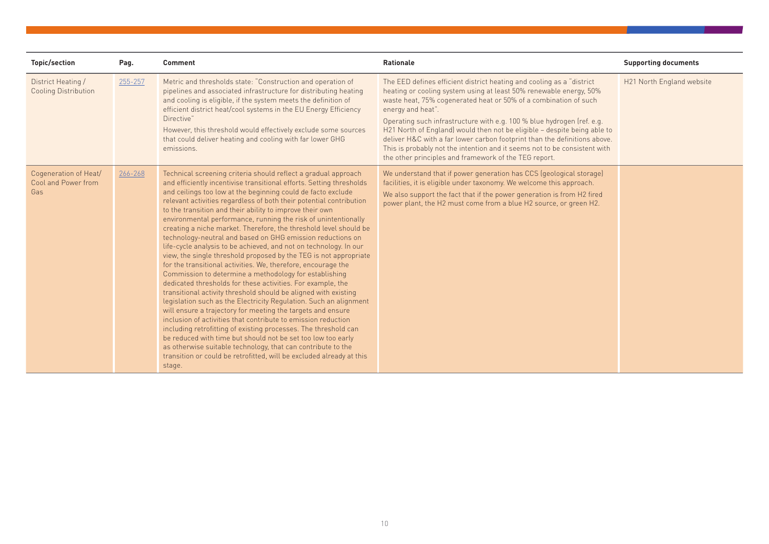| <b>Topic/section</b>                                | Pag.    | <b>Comment</b>                                                                                                                                                                                                                                                                                                                                                                                                                                                                                                                                                                                                                                                                                                                                                                                                                                                                                                                                                                                                                                                                                                                                                                                                                                                                                                                                                                                                                                  | <b>Rationale</b>                                                                                                                                                                                                                                                                                                                                                                                                                                                                                                                                                                                               | <b>Supporting documents</b> |
|-----------------------------------------------------|---------|-------------------------------------------------------------------------------------------------------------------------------------------------------------------------------------------------------------------------------------------------------------------------------------------------------------------------------------------------------------------------------------------------------------------------------------------------------------------------------------------------------------------------------------------------------------------------------------------------------------------------------------------------------------------------------------------------------------------------------------------------------------------------------------------------------------------------------------------------------------------------------------------------------------------------------------------------------------------------------------------------------------------------------------------------------------------------------------------------------------------------------------------------------------------------------------------------------------------------------------------------------------------------------------------------------------------------------------------------------------------------------------------------------------------------------------------------|----------------------------------------------------------------------------------------------------------------------------------------------------------------------------------------------------------------------------------------------------------------------------------------------------------------------------------------------------------------------------------------------------------------------------------------------------------------------------------------------------------------------------------------------------------------------------------------------------------------|-----------------------------|
| District Heating /<br><b>Cooling Distribution</b>   | 255-257 | Metric and thresholds state: "Construction and operation of<br>pipelines and associated infrastructure for distributing heating<br>and cooling is eligible, if the system meets the definition of<br>efficient district heat/cool systems in the EU Energy Efficiency<br>Directive"<br>However, this threshold would effectively exclude some sources<br>that could deliver heating and cooling with far lower GHG<br>emissions.                                                                                                                                                                                                                                                                                                                                                                                                                                                                                                                                                                                                                                                                                                                                                                                                                                                                                                                                                                                                                | The EED defines efficient district heating and cooling as a "district"<br>heating or cooling system using at least 50% renewable energy, 50%<br>waste heat, 75% cogenerated heat or 50% of a combination of such<br>energy and heat".<br>Operating such infrastructure with e.g. 100 % blue hydrogen (ref. e.g.<br>H21 North of England) would then not be eligible - despite being able to<br>deliver H&C with a far lower carbon footprint than the definitions above.<br>This is probably not the intention and it seems not to be consistent with<br>the other principles and framework of the TEG report. | H21 North England website   |
| Cogeneration of Heat/<br>Cool and Power from<br>Gas | 266-268 | Technical screening criteria should reflect a gradual approach<br>and efficiently incentivise transitional efforts. Setting thresholds<br>and ceilings too low at the beginning could de facto exclude<br>relevant activities regardless of both their potential contribution<br>to the transition and their ability to improve their own<br>environmental performance, running the risk of unintentionally<br>creating a niche market. Therefore, the threshold level should be<br>technology-neutral and based on GHG emission reductions on<br>life-cycle analysis to be achieved, and not on technology. In our<br>view, the single threshold proposed by the TEG is not appropriate<br>for the transitional activities. We, therefore, encourage the<br>Commission to determine a methodology for establishing<br>dedicated thresholds for these activities. For example, the<br>transitional activity threshold should be aligned with existing<br>legislation such as the Electricity Regulation. Such an alignment<br>will ensure a trajectory for meeting the targets and ensure<br>inclusion of activities that contribute to emission reduction<br>including retrofitting of existing processes. The threshold can<br>be reduced with time but should not be set too low too early<br>as otherwise suitable technology, that can contribute to the<br>transition or could be retrofitted, will be excluded already at this<br>stage. | We understand that if power generation has CCS (geological storage)<br>facilities, it is eligible under taxonomy. We welcome this approach.<br>We also support the fact that if the power generation is from H2 fired<br>power plant, the H2 must come from a blue H2 source, or green H2.                                                                                                                                                                                                                                                                                                                     |                             |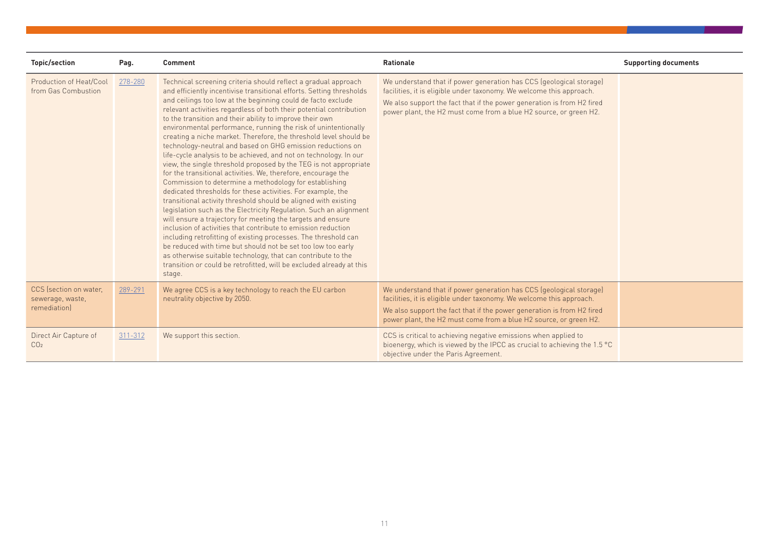| Topic/section                                             | Pag.    | <b>Comment</b>                                                                                                                                                                                                                                                                                                                                                                                                                                                                                                                                                                                                                                                                                                                                                                                                                                                                                                                                                                                                                                                                                                                                                                                                                                                                                                                                                                                                                                  | <b>Rationale</b>                                                                                                                                                                                                                                                                           | <b>Supporting documents</b> |
|-----------------------------------------------------------|---------|-------------------------------------------------------------------------------------------------------------------------------------------------------------------------------------------------------------------------------------------------------------------------------------------------------------------------------------------------------------------------------------------------------------------------------------------------------------------------------------------------------------------------------------------------------------------------------------------------------------------------------------------------------------------------------------------------------------------------------------------------------------------------------------------------------------------------------------------------------------------------------------------------------------------------------------------------------------------------------------------------------------------------------------------------------------------------------------------------------------------------------------------------------------------------------------------------------------------------------------------------------------------------------------------------------------------------------------------------------------------------------------------------------------------------------------------------|--------------------------------------------------------------------------------------------------------------------------------------------------------------------------------------------------------------------------------------------------------------------------------------------|-----------------------------|
| Production of Heat/Cool<br>from Gas Combustion            | 278-280 | Technical screening criteria should reflect a gradual approach<br>and efficiently incentivise transitional efforts. Setting thresholds<br>and ceilings too low at the beginning could de facto exclude<br>relevant activities regardless of both their potential contribution<br>to the transition and their ability to improve their own<br>environmental performance, running the risk of unintentionally<br>creating a niche market. Therefore, the threshold level should be<br>technology-neutral and based on GHG emission reductions on<br>life-cycle analysis to be achieved, and not on technology. In our<br>view, the single threshold proposed by the TEG is not appropriate<br>for the transitional activities. We, therefore, encourage the<br>Commission to determine a methodology for establishing<br>dedicated thresholds for these activities. For example, the<br>transitional activity threshold should be aligned with existing<br>legislation such as the Electricity Regulation. Such an alignment<br>will ensure a trajectory for meeting the targets and ensure<br>inclusion of activities that contribute to emission reduction<br>including retrofitting of existing processes. The threshold can<br>be reduced with time but should not be set too low too early<br>as otherwise suitable technology, that can contribute to the<br>transition or could be retrofitted, will be excluded already at this<br>stage. | We understand that if power generation has CCS (geological storage)<br>facilities, it is eligible under taxonomy. We welcome this approach.<br>We also support the fact that if the power generation is from H2 fired<br>power plant, the H2 must come from a blue H2 source, or green H2. |                             |
| CCS (section on water.<br>sewerage, waste,<br>remediation | 289-291 | We agree CCS is a key technology to reach the EU carbon<br>neutrality objective by 2050.                                                                                                                                                                                                                                                                                                                                                                                                                                                                                                                                                                                                                                                                                                                                                                                                                                                                                                                                                                                                                                                                                                                                                                                                                                                                                                                                                        | We understand that if power generation has CCS (geological storage)<br>facilities, it is eligible under taxonomy. We welcome this approach.<br>We also support the fact that if the power generation is from H2 fired<br>power plant, the H2 must come from a blue H2 source, or green H2. |                             |
| Direct Air Capture of<br>CO <sub>2</sub>                  | 311-312 | We support this section.                                                                                                                                                                                                                                                                                                                                                                                                                                                                                                                                                                                                                                                                                                                                                                                                                                                                                                                                                                                                                                                                                                                                                                                                                                                                                                                                                                                                                        | CCS is critical to achieving negative emissions when applied to<br>bioenergy, which is viewed by the IPCC as crucial to achieving the 1.5 °C<br>objective under the Paris Agreement.                                                                                                       |                             |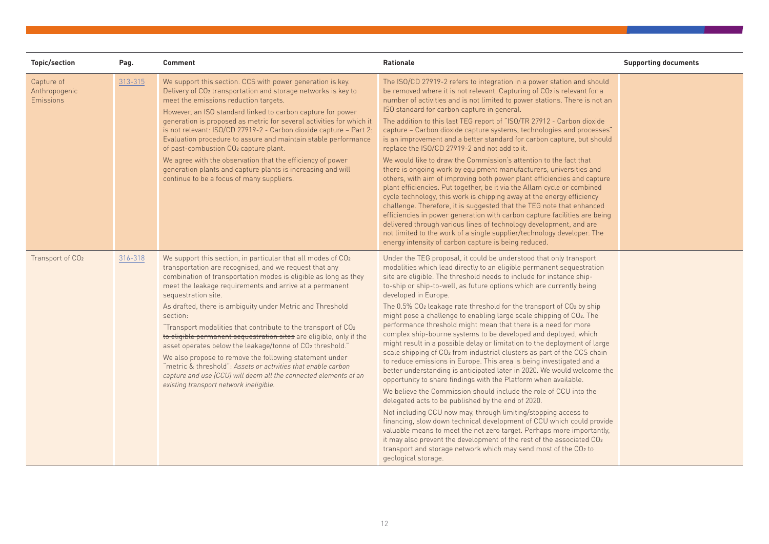| <b>Topic/section</b>                            | Pag.    | <b>Comment</b>                                                                                                                                                                                                                                                                                                                                                                                                                                                                                                                                                                                                                                                                                                                                                                                      | <b>Rationale</b>                                                                                                                                                                                                                                                                                                                                                                                                                                                                                                                                                                                                                                                                                                                                                                                                                                                                                                                                                                                                                                                                                                                                                                                                                                                                                                                                                                                                                                                                                                    | <b>Supporting documents</b> |
|-------------------------------------------------|---------|-----------------------------------------------------------------------------------------------------------------------------------------------------------------------------------------------------------------------------------------------------------------------------------------------------------------------------------------------------------------------------------------------------------------------------------------------------------------------------------------------------------------------------------------------------------------------------------------------------------------------------------------------------------------------------------------------------------------------------------------------------------------------------------------------------|---------------------------------------------------------------------------------------------------------------------------------------------------------------------------------------------------------------------------------------------------------------------------------------------------------------------------------------------------------------------------------------------------------------------------------------------------------------------------------------------------------------------------------------------------------------------------------------------------------------------------------------------------------------------------------------------------------------------------------------------------------------------------------------------------------------------------------------------------------------------------------------------------------------------------------------------------------------------------------------------------------------------------------------------------------------------------------------------------------------------------------------------------------------------------------------------------------------------------------------------------------------------------------------------------------------------------------------------------------------------------------------------------------------------------------------------------------------------------------------------------------------------|-----------------------------|
| Capture of<br>Anthropogenic<br><b>Emissions</b> | 313-315 | We support this section. CCS with power generation is key.<br>Delivery of CO <sub>2</sub> transportation and storage networks is key to<br>meet the emissions reduction targets.<br>However, an ISO standard linked to carbon capture for power<br>generation is proposed as metric for several activities for which it<br>is not relevant: ISO/CD 27919-2 - Carbon dioxide capture - Part 2:<br>Evaluation procedure to assure and maintain stable performance<br>of past-combustion CO2 capture plant.<br>We agree with the observation that the efficiency of power<br>generation plants and capture plants is increasing and will<br>continue to be a focus of many suppliers.                                                                                                                  | The ISO/CD 27919-2 refers to integration in a power station and should<br>be removed where it is not relevant. Capturing of CO2 is relevant for a<br>number of activities and is not limited to power stations. There is not an<br>ISO standard for carbon capture in general.<br>The addition to this last TEG report of "ISO/TR 27912 - Carbon dioxide<br>capture - Carbon dioxide capture systems, technologies and processes"<br>is an improvement and a better standard for carbon capture, but should<br>replace the ISO/CD 27919-2 and not add to it.<br>We would like to draw the Commission's attention to the fact that<br>there is ongoing work by equipment manufacturers, universities and<br>others, with aim of improving both power plant efficiencies and capture<br>plant efficiencies. Put together, be it via the Allam cycle or combined<br>cycle technology, this work is chipping away at the energy efficiency<br>challenge. Therefore, it is suggested that the TEG note that enhanced<br>efficiencies in power generation with carbon capture facilities are being<br>delivered through various lines of technology development, and are<br>not limited to the work of a single supplier/technology developer. The<br>energy intensity of carbon capture is being reduced.                                                                                                                                                                                                                |                             |
| Transport of CO <sub>2</sub>                    | 316-318 | We support this section, in particular that all modes of CO2<br>transportation are recognised, and we request that any<br>combination of transportation modes is eligible as long as they<br>meet the leakage requirements and arrive at a permanent<br>sequestration site.<br>As drafted, there is ambiguity under Metric and Threshold<br>section:<br>"Transport modalities that contribute to the transport of CO2<br>to eligible permanent sequestration sites are eligible, only if the<br>asset operates below the leakage/tonne of CO2 threshold."<br>We also propose to remove the following statement under<br>"metric & threshold": Assets or activities that enable carbon<br>capture and use (CCU) will deem all the connected elements of an<br>existing transport network ineligible. | Under the TEG proposal, it could be understood that only transport<br>modalities which lead directly to an eligible permanent sequestration<br>site are eligible. The threshold needs to include for instance ship-<br>to-ship or ship-to-well, as future options which are currently being<br>developed in Europe.<br>The 0.5% CO2 leakage rate threshold for the transport of CO2 by ship<br>might pose a challenge to enabling large scale shipping of CO2. The<br>performance threshold might mean that there is a need for more<br>complex ship-bourne systems to be developed and deployed, which<br>might result in a possible delay or limitation to the deployment of large<br>scale shipping of CO <sub>2</sub> from industrial clusters as part of the CCS chain<br>to reduce emissions in Europe. This area is being investigated and a<br>better understanding is anticipated later in 2020. We would welcome the<br>opportunity to share findings with the Platform when available.<br>We believe the Commission should include the role of CCU into the<br>delegated acts to be published by the end of 2020.<br>Not including CCU now may, through limiting/stopping access to<br>financing, slow down technical development of CCU which could provide<br>valuable means to meet the net zero target. Perhaps more importantly,<br>it may also prevent the development of the rest of the associated CO2<br>transport and storage network which may send most of the CO2 to<br>geological storage. |                             |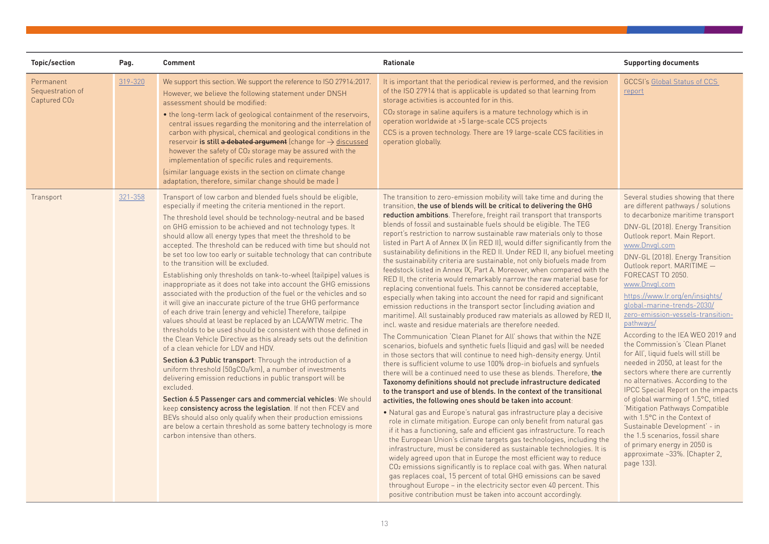| <b>Topic/section</b>                                      | Pag.    | <b>Comment</b>                                                                                                                                                                                                                                                                                                                                                                                                                                                                                                                                                                                                                                                                                                                                                                                                                                                                                                                                                                                                                                                                                                                                                                                                                                                                                                                                                                                                                                                                                                                                                                                                              | Rationale                                                                                                                                                                                                                                                                                                                                                                                                                                                                                                                                                                                                                                                                                                                                                                                                                                                                                                                                                                                                                                                                                                                                                                                                                                                                                                                                                                                                                                                                                                                                                                                                                                                                                                                                                                                                                                                                                                                                                                                                                                                                                                                                                                                                                                                                                                                                                                                                                                                                               | <b>Supporting documents</b>                                                                                                                                                                                                                                                                                                                                                                                                                                                                                                                                                                                                                                                                                                                                                                                                                                                                                                                                         |
|-----------------------------------------------------------|---------|-----------------------------------------------------------------------------------------------------------------------------------------------------------------------------------------------------------------------------------------------------------------------------------------------------------------------------------------------------------------------------------------------------------------------------------------------------------------------------------------------------------------------------------------------------------------------------------------------------------------------------------------------------------------------------------------------------------------------------------------------------------------------------------------------------------------------------------------------------------------------------------------------------------------------------------------------------------------------------------------------------------------------------------------------------------------------------------------------------------------------------------------------------------------------------------------------------------------------------------------------------------------------------------------------------------------------------------------------------------------------------------------------------------------------------------------------------------------------------------------------------------------------------------------------------------------------------------------------------------------------------|-----------------------------------------------------------------------------------------------------------------------------------------------------------------------------------------------------------------------------------------------------------------------------------------------------------------------------------------------------------------------------------------------------------------------------------------------------------------------------------------------------------------------------------------------------------------------------------------------------------------------------------------------------------------------------------------------------------------------------------------------------------------------------------------------------------------------------------------------------------------------------------------------------------------------------------------------------------------------------------------------------------------------------------------------------------------------------------------------------------------------------------------------------------------------------------------------------------------------------------------------------------------------------------------------------------------------------------------------------------------------------------------------------------------------------------------------------------------------------------------------------------------------------------------------------------------------------------------------------------------------------------------------------------------------------------------------------------------------------------------------------------------------------------------------------------------------------------------------------------------------------------------------------------------------------------------------------------------------------------------------------------------------------------------------------------------------------------------------------------------------------------------------------------------------------------------------------------------------------------------------------------------------------------------------------------------------------------------------------------------------------------------------------------------------------------------------------------------------------------------|---------------------------------------------------------------------------------------------------------------------------------------------------------------------------------------------------------------------------------------------------------------------------------------------------------------------------------------------------------------------------------------------------------------------------------------------------------------------------------------------------------------------------------------------------------------------------------------------------------------------------------------------------------------------------------------------------------------------------------------------------------------------------------------------------------------------------------------------------------------------------------------------------------------------------------------------------------------------|
| Permanent<br>Sequestration of<br>Captured CO <sub>2</sub> | 319-320 | We support this section. We support the reference to ISO 27914:2017.<br>However, we believe the following statement under DNSH<br>assessment should be modified:<br>• the long-term lack of geological containment of the reservoirs,<br>central issues regarding the monitoring and the interrelation of<br>carbon with physical, chemical and geological conditions in the<br>reservoir is still a debated argument (change for $\rightarrow$ discussed<br>however the safety of CO <sub>2</sub> storage may be assured with the<br>implementation of specific rules and requirements.<br>(similar language exists in the section on climate change<br>adaptation, therefore, similar change should be made )                                                                                                                                                                                                                                                                                                                                                                                                                                                                                                                                                                                                                                                                                                                                                                                                                                                                                                             | It is important that the periodical review is performed, and the revision<br>of the ISO 27914 that is applicable is updated so that learning from<br>storage activities is accounted for in this.<br>CO <sub>2</sub> storage in saline aquifers is a mature technology which is in<br>operation worldwide at >5 large-scale CCS projects<br>CCS is a proven technology. There are 19 large-scale CCS facilities in<br>operation globally.                                                                                                                                                                                                                                                                                                                                                                                                                                                                                                                                                                                                                                                                                                                                                                                                                                                                                                                                                                                                                                                                                                                                                                                                                                                                                                                                                                                                                                                                                                                                                                                                                                                                                                                                                                                                                                                                                                                                                                                                                                               | <b>GCCSI's Global Status of CCS</b><br>report                                                                                                                                                                                                                                                                                                                                                                                                                                                                                                                                                                                                                                                                                                                                                                                                                                                                                                                       |
| Transport                                                 | 321-358 | Transport of low carbon and blended fuels should be eligible,<br>especially if meeting the criteria mentioned in the report.<br>The threshold level should be technology-neutral and be based<br>on GHG emission to be achieved and not technology types. It<br>should allow all energy types that meet the threshold to be<br>accepted. The threshold can be reduced with time but should not<br>be set too low too early or suitable technology that can contribute<br>to the transition will be excluded.<br>Establishing only thresholds on tank-to-wheel (tailpipe) values is<br>inappropriate as it does not take into account the GHG emissions<br>associated with the production of the fuel or the vehicles and so<br>it will give an inaccurate picture of the true GHG performance<br>of each drive train (energy and vehicle) Therefore, tailpipe<br>values should at least be replaced by an LCA/WTW metric. The<br>thresholds to be used should be consistent with those defined in<br>the Clean Vehicle Directive as this already sets out the definition<br>of a clean vehicle for LDV and HDV.<br>Section 6.3 Public transport: Through the introduction of a<br>uniform threshold (50gCO2/km), a number of investments<br>delivering emission reductions in public transport will be<br>excluded.<br>Section 6.5 Passenger cars and commercial vehicles: We should<br>keep consistency across the legislation. If not then FCEV and<br>BEVs should also only qualify when their production emissions<br>are below a certain threshold as some battery technology is more<br>carbon intensive than others. | The transition to zero-emission mobility will take time and during the<br>transition, the use of blends will be critical to delivering the GHG<br>reduction ambitions. Therefore, freight rail transport that transports<br>blends of fossil and sustainable fuels should be eligible. The TEG<br>report's restriction to narrow sustainable raw materials only to those<br>listed in Part A of Annex IX (in RED II), would differ significantly from the<br>sustainability definitions in the RED II. Under RED II, any biofuel meeting<br>the sustainability criteria are sustainable, not only biofuels made from<br>feedstock listed in Annex IX, Part A. Moreover, when compared with the<br>RED II, the criteria would remarkably narrow the raw material base for<br>replacing conventional fuels. This cannot be considered acceptable,<br>especially when taking into account the need for rapid and significant<br>emission reductions in the transport sector (including aviation and<br>maritime). All sustainably produced raw materials as allowed by RED II,<br>incl. waste and residue materials are therefore needed.<br>The Communication 'Clean Planet for All' shows that within the NZE<br>scenarios, biofuels and synthetic fuels (liquid and gas) will be needed<br>in those sectors that will continue to need high-density energy. Until<br>there is sufficient volume to use 100% drop-in biofuels and synfuels<br>there will be a continued need to use these as blends. Therefore, the<br>Taxonomy definitions should not preclude infrastructure dedicated<br>to the transport and use of blends. In the context of the transitional<br>activities, the following ones should be taken into account:<br>• Natural gas and Europe's natural gas infrastructure play a decisive<br>role in climate mitigation. Europe can only benefit from natural gas<br>if it has a functioning, safe and efficient gas infrastructure. To reach<br>the European Union's climate targets gas technologies, including the<br>infrastructure, must be considered as sustainable technologies. It is<br>widely agreed upon that in Europe the most efficient way to reduce<br>CO <sub>2</sub> emissions significantly is to replace coal with gas. When natural<br>gas replaces coal, 15 percent of total GHG emissions can be saved<br>throughout Europe - in the electricity sector even 40 percent. This<br>positive contribution must be taken into account accordingly. | Several studies showing that there<br>are different pathways / solutions<br>to decarbonize maritime transport<br>DNV-GL (2018). Energy Transition<br>Outlook report. Main Report.<br>www.Dnvgl.com<br>DNV-GL (2018). Energy Transition<br>Outlook report. MARITIME -<br>FORECAST TO 2050.<br>www.Dnvgl.com<br>https://www.lr.org/en/insights/<br>qlobal-marine-trends-2030/<br>zero-emission-vessels-transition-<br>pathways/<br>According to the IEA WEO 2019 and<br>the Commission's 'Clean Planet<br>for All', liquid fuels will still be<br>needed in 2050, at least for the<br>sectors where there are currently<br>no alternatives. According to the<br><b>IPCC Special Report on the impacts</b><br>of global warming of 1.5°C, titled<br>'Mitigation Pathways Compatible<br>with 1.5°C in the Context of<br>Sustainable Development' - in<br>the 1.5 scenarios, fossil share<br>of primary energy in 2050 is<br>approximate ~33%. (Chapter 2,<br>page 133). |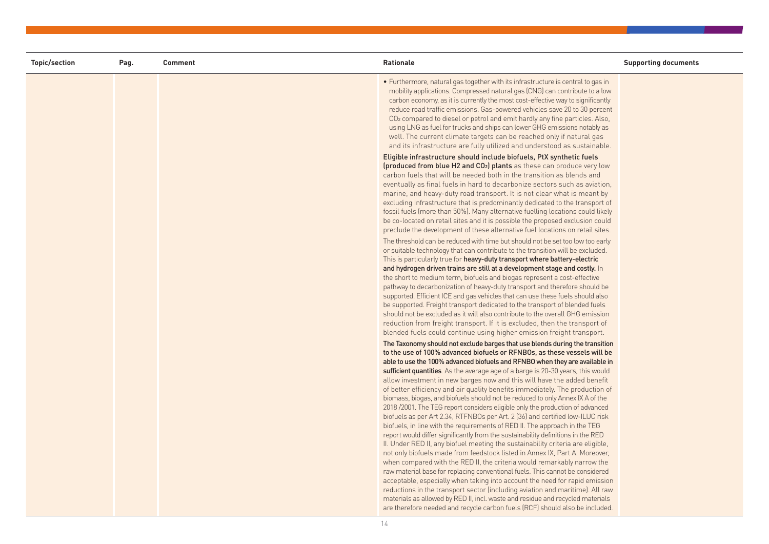| Topic/section | Pag. | <b>Comment</b> | Rationale                                                                                                                                                                                                                                                                                                                                                                                                                                                                                                                                                                                                                                                                                                                                                                                                                                                                                                                                                                                                                                                                                                                                                                                                                                                                                                                                                                                                                                                                                                                                                                  | <b>Supporting documents</b> |
|---------------|------|----------------|----------------------------------------------------------------------------------------------------------------------------------------------------------------------------------------------------------------------------------------------------------------------------------------------------------------------------------------------------------------------------------------------------------------------------------------------------------------------------------------------------------------------------------------------------------------------------------------------------------------------------------------------------------------------------------------------------------------------------------------------------------------------------------------------------------------------------------------------------------------------------------------------------------------------------------------------------------------------------------------------------------------------------------------------------------------------------------------------------------------------------------------------------------------------------------------------------------------------------------------------------------------------------------------------------------------------------------------------------------------------------------------------------------------------------------------------------------------------------------------------------------------------------------------------------------------------------|-----------------------------|
|               |      |                | • Furthermore, natural gas together with its infrastructure is central to gas in<br>mobility applications. Compressed natural gas (CNG) can contribute to a low<br>carbon economy, as it is currently the most cost-effective way to significantly<br>reduce road traffic emissions. Gas-powered vehicles save 20 to 30 percent<br>CO <sub>2</sub> compared to diesel or petrol and emit hardly any fine particles. Also,<br>using LNG as fuel for trucks and ships can lower GHG emissions notably as<br>well. The current climate targets can be reached only if natural gas<br>and its infrastructure are fully utilized and understood as sustainable.                                                                                                                                                                                                                                                                                                                                                                                                                                                                                                                                                                                                                                                                                                                                                                                                                                                                                                                 |                             |
|               |      |                | Eligible infrastructure should include biofuels, PtX synthetic fuels<br>(produced from blue H2 and CO <sub>2</sub> ) plants as these can produce very low<br>carbon fuels that will be needed both in the transition as blends and<br>eventually as final fuels in hard to decarbonize sectors such as aviation,<br>marine, and heavy-duty road transport. It is not clear what is meant by<br>excluding Infrastructure that is predominantly dedicated to the transport of<br>fossil fuels (more than 50%). Many alternative fuelling locations could likely<br>be co-located on retail sites and it is possible the proposed exclusion could<br>preclude the development of these alternative fuel locations on retail sites.                                                                                                                                                                                                                                                                                                                                                                                                                                                                                                                                                                                                                                                                                                                                                                                                                                            |                             |
|               |      |                | The threshold can be reduced with time but should not be set too low too early<br>or suitable technology that can contribute to the transition will be excluded.<br>This is particularly true for heavy-duty transport where battery-electric<br>and hydrogen driven trains are still at a development stage and costly. In<br>the short to medium term, biofuels and biogas represent a cost-effective<br>pathway to decarbonization of heavy-duty transport and therefore should be<br>supported. Efficient ICE and gas vehicles that can use these fuels should also<br>be supported. Freight transport dedicated to the transport of blended fuels<br>should not be excluded as it will also contribute to the overall GHG emission<br>reduction from freight transport. If it is excluded, then the transport of<br>blended fuels could continue using higher emission freight transport.                                                                                                                                                                                                                                                                                                                                                                                                                                                                                                                                                                                                                                                                             |                             |
|               |      |                | The Taxonomy should not exclude barges that use blends during the transition<br>to the use of 100% advanced biofuels or RFNBOs, as these vessels will be<br>able to use the 100% advanced biofuels and RFNBO when they are available in<br>sufficient quantities. As the average age of a barge is 20-30 years, this would<br>allow investment in new barges now and this will have the added benefit<br>of better efficiency and air quality benefits immediately. The production of<br>biomass, biogas, and biofuels should not be reduced to only Annex IX A of the<br>2018 /2001. The TEG report considers eligible only the production of advanced<br>biofuels as per Art 2.34, RTFNBOs per Art. 2 (36) and certified low-ILUC risk<br>biofuels, in line with the requirements of RED II. The approach in the TEG<br>report would differ significantly from the sustainability definitions in the RED<br>II. Under RED II, any biofuel meeting the sustainability criteria are eligible,<br>not only biofuels made from feedstock listed in Annex IX, Part A. Moreover,<br>when compared with the RED II, the criteria would remarkably narrow the<br>raw material base for replacing conventional fuels. This cannot be considered<br>acceptable, especially when taking into account the need for rapid emission<br>reductions in the transport sector (including aviation and maritime). All raw<br>materials as allowed by RED II, incl. waste and residue and recycled materials<br>are therefore needed and recycle carbon fuels (RCF) should also be included. |                             |